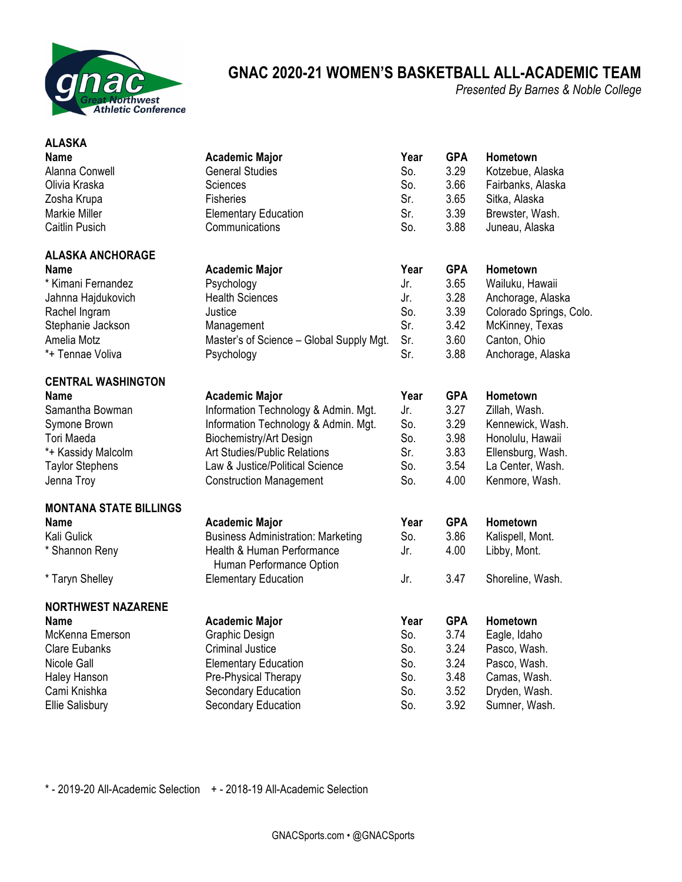

## **GNAC 2020-21 WOMEN'S BASKETBALL ALL-ACADEMIC TEAM**

*Presented By Barnes & Noble College*

| <b>ALASKA</b>                 |                                                        |      |            |                         |
|-------------------------------|--------------------------------------------------------|------|------------|-------------------------|
| <b>Name</b>                   | <b>Academic Major</b>                                  | Year | <b>GPA</b> | Hometown                |
| Alanna Conwell                | <b>General Studies</b>                                 | So.  | 3.29       | Kotzebue, Alaska        |
| Olivia Kraska                 | Sciences                                               | So.  | 3.66       | Fairbanks, Alaska       |
| Zosha Krupa                   | <b>Fisheries</b>                                       | Sr.  | 3.65       | Sitka, Alaska           |
| <b>Markie Miller</b>          | <b>Elementary Education</b><br>Communications          | Sr.  | 3.39       | Brewster, Wash.         |
| <b>Caitlin Pusich</b>         |                                                        | So.  | 3.88       | Juneau, Alaska          |
| <b>ALASKA ANCHORAGE</b>       |                                                        |      |            |                         |
| <b>Name</b>                   | <b>Academic Major</b>                                  | Year | <b>GPA</b> | Hometown                |
| * Kimani Fernandez            | Psychology                                             | Jr.  | 3.65       | Wailuku, Hawaii         |
| Jahnna Hajdukovich            | <b>Health Sciences</b>                                 | Jr.  | 3.28       | Anchorage, Alaska       |
| Rachel Ingram                 | Justice                                                | So.  | 3.39       | Colorado Springs, Colo. |
| Stephanie Jackson             | Management                                             | Sr.  | 3.42       | McKinney, Texas         |
| Amelia Motz                   | Master's of Science - Global Supply Mgt.               | Sr.  | 3.60       | Canton, Ohio            |
| *+ Tennae Voliva              | Psychology                                             | Sr.  | 3.88       | Anchorage, Alaska       |
| <b>CENTRAL WASHINGTON</b>     |                                                        |      |            |                         |
| <b>Name</b>                   | <b>Academic Major</b>                                  | Year | <b>GPA</b> | Hometown                |
| Samantha Bowman               | Information Technology & Admin. Mgt.                   | Jr.  | 3.27       | Zillah, Wash.           |
| Symone Brown                  | Information Technology & Admin. Mgt.                   | So.  | 3.29       | Kennewick, Wash.        |
| Tori Maeda                    | Biochemistry/Art Design                                | So.  | 3.98       | Honolulu, Hawaii        |
| *+ Kassidy Malcolm            | Art Studies/Public Relations                           | Sr.  | 3.83       | Ellensburg, Wash.       |
| <b>Taylor Stephens</b>        | Law & Justice/Political Science                        | So.  | 3.54       | La Center, Wash.        |
| Jenna Troy                    | <b>Construction Management</b>                         | So.  | 4.00       | Kenmore, Wash.          |
| <b>MONTANA STATE BILLINGS</b> |                                                        |      |            |                         |
| <b>Name</b>                   | <b>Academic Major</b>                                  | Year | <b>GPA</b> | Hometown                |
| Kali Gulick                   | <b>Business Administration: Marketing</b>              | So.  | 3.86       | Kalispell, Mont.        |
| * Shannon Reny                | Health & Human Performance<br>Human Performance Option | Jr.  | 4.00       | Libby, Mont.            |
| * Taryn Shelley               | <b>Elementary Education</b>                            | Jr.  | 3.47       | Shoreline, Wash.        |
| <b>NORTHWEST NAZARENE</b>     |                                                        |      |            |                         |
| <b>Name</b>                   | <b>Academic Major</b>                                  | Year | <b>GPA</b> | Hometown                |
| McKenna Emerson               | Graphic Design                                         | So.  | 3.74       | Eagle, Idaho            |
| <b>Clare Eubanks</b>          | <b>Criminal Justice</b>                                | So.  | 3.24       | Pasco, Wash.            |
| Nicole Gall                   | <b>Elementary Education</b>                            | So.  | 3.24       | Pasco, Wash.            |
| Haley Hanson                  | Pre-Physical Therapy                                   | So.  | 3.48       | Camas, Wash.            |
| Cami Knishka                  | Secondary Education                                    | So.  | 3.52       | Dryden, Wash.           |
| <b>Ellie Salisbury</b>        | Secondary Education                                    | So.  | 3.92       | Sumner, Wash.           |

\* - 2019-20 All-Academic Selection + - 2018-19 All-Academic Selection